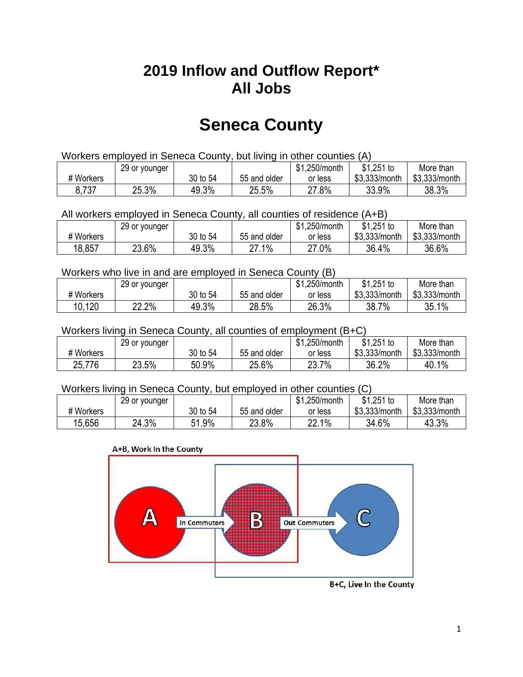## **2019 Inflow and Outflow Report\* All Jobs**

# **Seneca County**

| Workers employed in Seneca County, but living in other counties (A) |                                                           |          |              |         |               |               |  |  |  |
|---------------------------------------------------------------------|-----------------------------------------------------------|----------|--------------|---------|---------------|---------------|--|--|--|
|                                                                     | \$1.251 to<br>\$1,250/month<br>More than<br>29 or younger |          |              |         |               |               |  |  |  |
| # Workers                                                           |                                                           | 30 to 54 | 55 and older | or less | \$3,333/month | \$3,333/month |  |  |  |
| 8,737                                                               | 25.3%                                                     | 49.3%    | 25.5%        | 27.8%   | 33.9%         | 38.3%         |  |  |  |

All workers employed in Seneca County, all counties of residence (A+B)

|           | 29 or younger |          |              | \$1,250/month | $$1,251$ to   | More than     |
|-----------|---------------|----------|--------------|---------------|---------------|---------------|
| # Workers |               | 30 to 54 | 55 and older | or less       | \$3,333/month | \$3,333/month |
| 18,857    | 23.6%         | 49.3%    | 27.1%        | 27.0%         | 36.4%         | 36.6%         |

#### Workers who live in and are employed in Seneca County (B)

|           | 29 or younger |          |              | \$1,250/month | $$1,251$ to   | More than     |
|-----------|---------------|----------|--------------|---------------|---------------|---------------|
| # Workers |               | 30 to 54 | 55 and older | or less       | \$3,333/month | \$3,333/month |
| 10,120    | 22.2%         | 49.3%    | 28.5%        | 26.3%         | $7\%$<br>38.7 | 35.1%         |

#### Workers living in Seneca County, all counties of employment (B+C)

|           | 29 or younger |          |              | \$1,250/month | \$1,251 to    | More than     |
|-----------|---------------|----------|--------------|---------------|---------------|---------------|
| # Workers |               | 30 to 54 | 55 and older | or less       | \$3,333/month | \$3,333/month |
| 25,776    | 23.5%         | 50.9%    | 25.6%        | 7%<br>23.7    | 36.2%         | 40.1%         |

#### Workers living in Seneca County, but employed in other counties (C)

|           | 29 or younger |               |              | \$1,250/month | $$1,251$ to   | More than     |
|-----------|---------------|---------------|--------------|---------------|---------------|---------------|
| # Workers |               | 30 to 54      | 55 and older | or less       | \$3,333/month | \$3,333/month |
| 15,656    | 24.3%         | $.9\%$<br>C 4 | 23.8%        | 22.1%         | 34.6%         | 43.3%         |

#### A+B, Work In the County